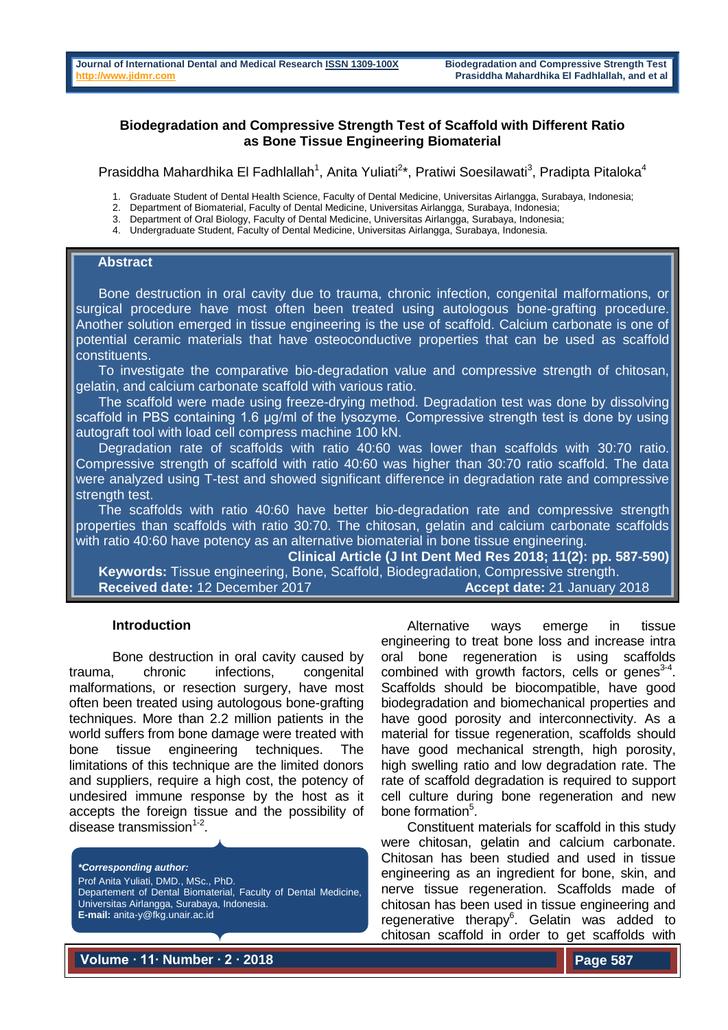# **Biodegradation and Compressive Strength Test of Scaffold with Different Ratio as Bone Tissue Engineering Biomaterial**

Prasiddha Mahardhika El Fadhlallah<sup>1</sup>, Anita Yuliati<sup>2\*</sup>, Pratiwi Soesilawati<sup>3</sup>, Pradipta Pitaloka<sup>4</sup>

1. Graduate Student of Dental Health Science, Faculty of Dental Medicine, Universitas Airlangga, Surabaya, Indonesia;

- 2. Department of Biomaterial, Faculty of Dental Medicine, Universitas Airlangga, Surabaya, Indonesia;
- Department of Oral Biology, Faculty of Dental Medicine, Universitas Airlangga, Surabaya, Indonesia;

4. Undergraduate Student, Faculty of Dental Medicine, Universitas Airlangga, Surabaya, Indonesia.

## **Abstract**

 Bone destruction in oral cavity due to trauma, chronic infection, congenital malformations, or surgical procedure have most often been treated using autologous bone-grafting procedure. Another solution emerged in tissue engineering is the use of scaffold. Calcium carbonate is one of potential ceramic materials that have osteoconductive properties that can be used as scaffold constituents.

 To investigate the comparative bio-degradation value and compressive strength of chitosan, gelatin, and calcium carbonate scaffold with various ratio.

 The scaffold were made using freeze-drying method. Degradation test was done by dissolving scaffold in PBS containing 1.6 μg/ml of the lysozyme. Compressive strength test is done by using autograft tool with load cell compress machine 100 kN.

 Degradation rate of scaffolds with ratio 40:60 was lower than scaffolds with 30:70 ratio. Compressive strength of scaffold with ratio 40:60 was higher than 30:70 ratio scaffold. The data were analyzed using T-test and showed significant difference in degradation rate and compressive strength test.

 The scaffolds with ratio 40:60 have better bio-degradation rate and compressive strength properties than scaffolds with ratio 30:70. The chitosan, gelatin and calcium carbonate scaffolds with ratio 40:60 have potency as an alternative biomaterial in bone tissue engineering.

**Clinical Article (J Int Dent Med Res 2018; 11(2): pp. 587-590)** 

 **Keywords:** Tissue engineering, Bone, Scaffold, Biodegradation, Compressive strength. **Received date:** 12 December 2017 **Accept date:** 21 January 2018

#### **Introduction**

Bone destruction in oral cavity caused by trauma, chronic infections, congenital malformations, or resection surgery, have most often been treated using autologous bone-grafting techniques. More than 2.2 million patients in the world suffers from bone damage were treated with bone tissue engineering techniques. The limitations of this technique are the limited donors and suppliers, require a high cost, the potency of undesired immune response by the host as it accepts the foreign tissue and the possibility of disease transmission $1-2$ .

*\*Corresponding author:* Prof Anita Yuliati, DMD., MSc., PhD. Departement of Dental Biomaterial, Faculty of Dental Medicine, Universitas Airlangga, Surabaya, Indonesia. **E-mail:** anita-y@fkg.unair.ac.id

Alternative ways emerge in tissue engineering to treat bone loss and increase intra oral bone regeneration is using scaffolds combined with growth factors, cells or genes<sup>3-4</sup>. Scaffolds should be biocompatible, have good biodegradation and biomechanical properties and have good porosity and interconnectivity. As a material for tissue regeneration, scaffolds should have good mechanical strength, high porosity, high swelling ratio and low degradation rate. The rate of scaffold degradation is required to support cell culture during bone regeneration and new bone formation<sup>5</sup>.

Constituent materials for scaffold in this study were chitosan, gelatin and calcium carbonate. Chitosan has been studied and used in tissue engineering as an ingredient for bone, skin, and nerve tissue regeneration. Scaffolds made of chitosan has been used in tissue engineering and regenerative therapy<sup>6</sup>. Gelatin was added to chitosan scaffold in order to get scaffolds with

**Volume ∙ 11∙ Number ∙ 2 ∙ 2018**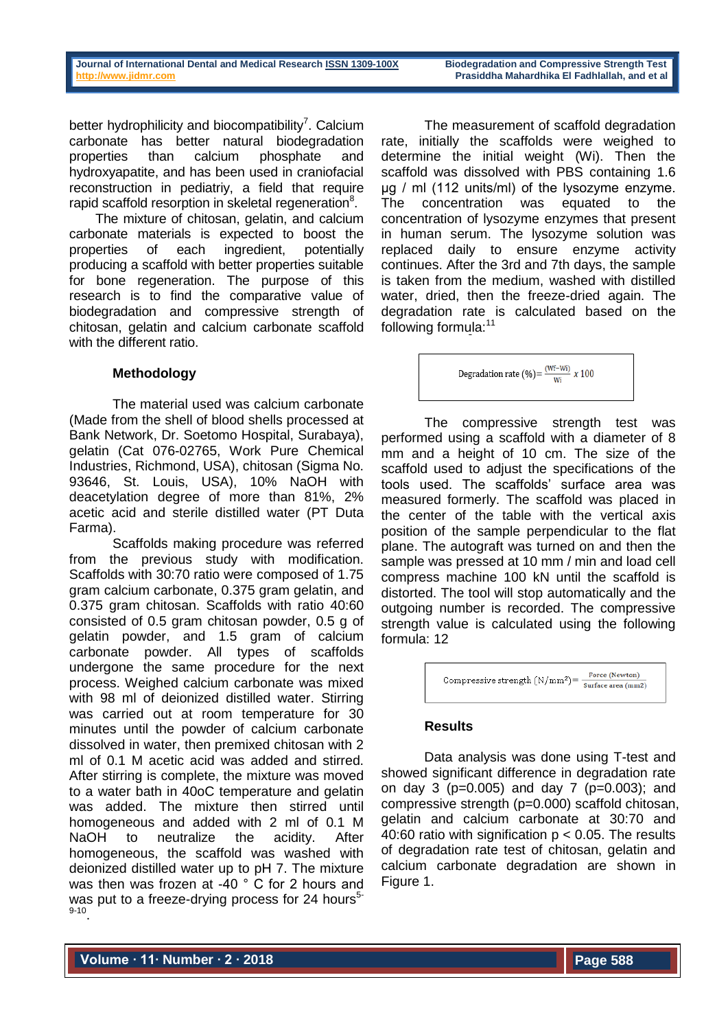better hydrophilicity and biocompatibility<sup>7</sup>. Calcium carbonate has better natural biodegradation properties than calcium phosphate and hydroxyapatite, and has been used in craniofacial reconstruction in pediatriy, a field that require rapid scaffold resorption in skeletal regeneration<sup>8</sup>.

The mixture of chitosan, gelatin, and calcium carbonate materials is expected to boost the properties of each ingredient, potentially producing a scaffold with better properties suitable for bone regeneration. The purpose of this research is to find the comparative value of biodegradation and compressive strength of chitosan, gelatin and calcium carbonate scaffold with the different ratio.

# **Methodology**

The material used was calcium carbonate (Made from the shell of blood shells processed at Bank Network, Dr. Soetomo Hospital, Surabaya), gelatin (Cat 076-02765, Work Pure Chemical Industries, Richmond, USA), chitosan (Sigma No. 93646, St. Louis, USA), 10% NaOH with deacetylation degree of more than 81%, 2% acetic acid and sterile distilled water (PT Duta Farma).

Scaffolds making procedure was referred from the previous study with modification. Scaffolds with 30:70 ratio were composed of 1.75 gram calcium carbonate, 0.375 gram gelatin, and 0.375 gram chitosan. Scaffolds with ratio 40:60 consisted of 0.5 gram chitosan powder, 0.5 g of gelatin powder, and 1.5 gram of calcium carbonate powder. All types of scaffolds undergone the same procedure for the next process. Weighed calcium carbonate was mixed with 98 ml of deionized distilled water. Stirring was carried out at room temperature for 30 minutes until the powder of calcium carbonate dissolved in water, then premixed chitosan with 2 ml of 0.1 M acetic acid was added and stirred. After stirring is complete, the mixture was moved to a water bath in 40oC temperature and gelatin was added. The mixture then stirred until homogeneous and added with 2 ml of 0.1 M NaOH to neutralize the acidity. After homogeneous, the scaffold was washed with deionized distilled water up to pH 7. The mixture was then was frozen at -40 ° C for 2 hours and was put to a freeze-drying process for 24 hours $5$ 9-10 .

The measurement of scaffold degradation rate, initially the scaffolds were weighed to determine the initial weight (Wi). Then the scaffold was dissolved with PBS containing 1.6 μg / ml (112 units/ml) of the lysozyme enzyme. The concentration was equated to the concentration of lysozyme enzymes that present in human serum. The lysozyme solution was replaced daily to ensure enzyme activity continues. After the 3rd and 7th days, the sample is taken from the medium, washed with distilled water, dried, then the freeze-dried again. The degradation rate is calculated based on the following formula:<sup>11</sup>

Degradation rate (%) = 
$$
\frac{(Wf-Wi)}{Wi} \times 100
$$

The compressive strength test was performed using a scaffold with a diameter of 8 mm and a height of 10 cm. The size of the scaffold used to adjust the specifications of the tools used. The scaffolds' surface area was measured formerly. The scaffold was placed in the center of the table with the vertical axis position of the sample perpendicular to the flat plane. The autograft was turned on and then the sample was pressed at 10 mm / min and load cell compress machine 100 kN until the scaffold is distorted. The tool will stop automatically and the outgoing number is recorded. The compressive strength value is calculated using the following formula: 12



## **Results**

Data analysis was done using T-test and showed significant difference in degradation rate on day 3 (p=0.005) and day 7 (p=0.003); and compressive strength (p=0.000) scaffold chitosan, gelatin and calcium carbonate at 30:70 and 40:60 ratio with signification  $p < 0.05$ . The results of degradation rate test of chitosan, gelatin and calcium carbonate degradation are shown in Figure 1.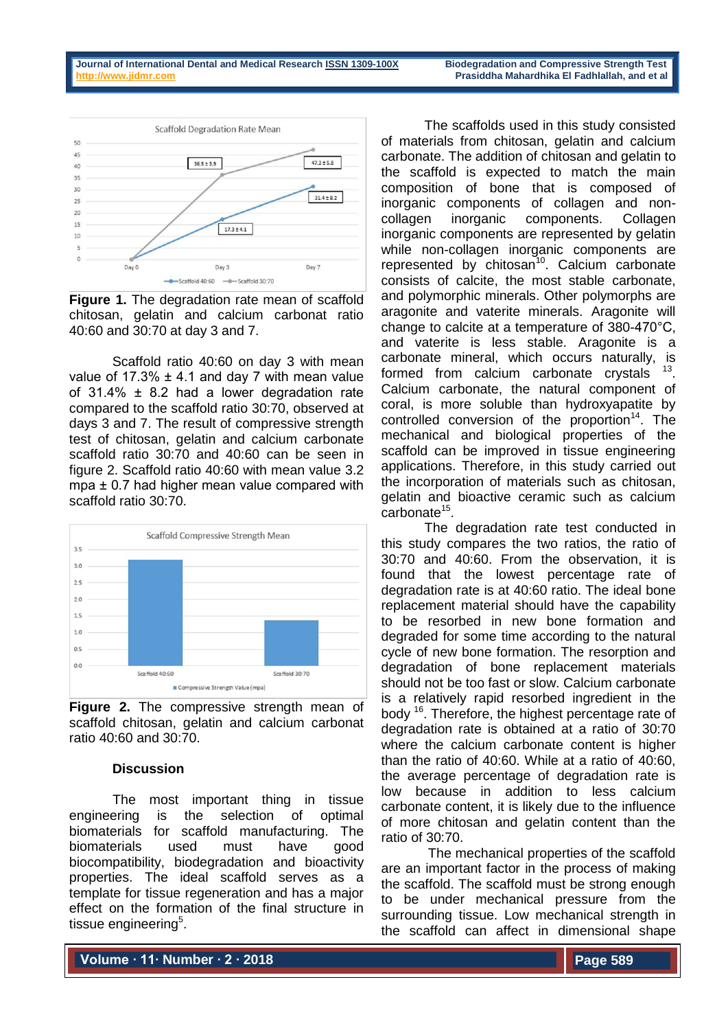

**Figure 1.** The degradation rate mean of scaffold chitosan, gelatin and calcium carbonat ratio 40:60 and 30:70 at day 3 and 7.

Scaffold ratio 40:60 on day 3 with mean value of 17.3%  $\pm$  4.1 and day 7 with mean value of  $31.4\% \pm 8.2$  had a lower degradation rate compared to the scaffold ratio 30:70, observed at days 3 and 7. The result of compressive strength test of chitosan, gelatin and calcium carbonate scaffold ratio 30:70 and 40:60 can be seen in figure 2. Scaffold ratio 40:60 with mean value 3.2 mpa ± 0.7 had higher mean value compared with scaffold ratio 30:70.



**Figure 2.** The compressive strength mean of scaffold chitosan, gelatin and calcium carbonat ratio 40:60 and 30:70.

## **Discussion**

The most important thing in tissue engineering is the selection of optimal biomaterials for scaffold manufacturing. The biomaterials used must have good biocompatibility, biodegradation and bioactivity properties. The ideal scaffold serves as a template for tissue regeneration and has a major effect on the formation of the final structure in tissue engineering<sup>5</sup>.

The scaffolds used in this study consisted of materials from chitosan, gelatin and calcium carbonate. The addition of chitosan and gelatin to the scaffold is expected to match the main composition of bone that is composed of inorganic components of collagen and noncollagen inorganic components. Collagen inorganic components are represented by gelatin while non-collagen inorganic components are represented by chitosan<sup>10</sup>. Calcium carbonate consists of calcite, the most stable carbonate, and polymorphic minerals. Other polymorphs are aragonite and vaterite minerals. Aragonite will change to calcite at a temperature of 380-470°C, and vaterite is less stable. Aragonite is a carbonate mineral, which occurs naturally, is formed from calcium carbonate crystals  $13$ . Calcium carbonate, the natural component of coral, is more soluble than hydroxyapatite by controlled conversion of the proportion<sup>14</sup>. The mechanical and biological properties of the scaffold can be improved in tissue engineering applications. Therefore, in this study carried out the incorporation of materials such as chitosan, gelatin and bioactive ceramic such as calcium carbonate<sup>15</sup>.

The degradation rate test conducted in this study compares the two ratios, the ratio of 30:70 and 40:60. From the observation, it is found that the lowest percentage rate of degradation rate is at 40:60 ratio. The ideal bone replacement material should have the capability to be resorbed in new bone formation and degraded for some time according to the natural cycle of new bone formation. The resorption and degradation of bone replacement materials should not be too fast or slow. Calcium carbonate is a relatively rapid resorbed ingredient in the body <sup>16</sup>. Therefore, the highest percentage rate of degradation rate is obtained at a ratio of 30:70 where the calcium carbonate content is higher than the ratio of 40:60. While at a ratio of 40:60, the average percentage of degradation rate is low because in addition to less calcium carbonate content, it is likely due to the influence of more chitosan and gelatin content than the ratio of 30:70.

The mechanical properties of the scaffold are an important factor in the process of making the scaffold. The scaffold must be strong enough to be under mechanical pressure from the surrounding tissue. Low mechanical strength in the scaffold can affect in dimensional shape

**Volume ∙ 11∙ Number ∙ 2 ∙ 2018**